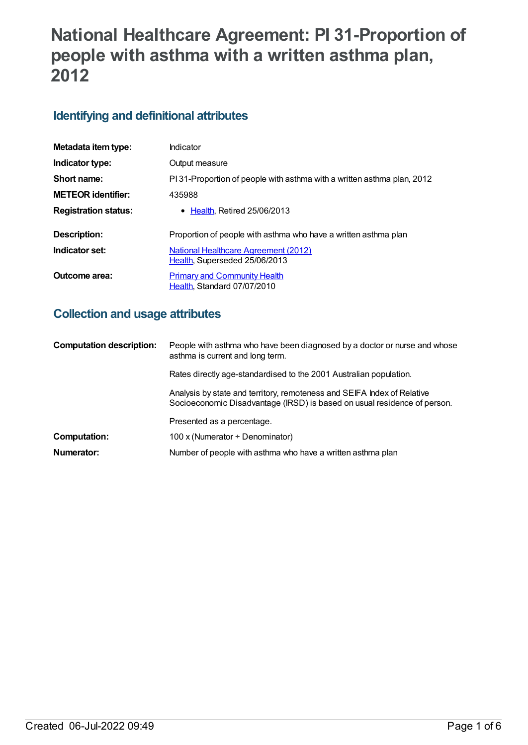# **National Healthcare Agreement: PI 31-Proportion of people with asthma with a written asthma plan, 2012**

# **Identifying and definitional attributes**

| Metadata item type:         | Indicator                                                               |
|-----------------------------|-------------------------------------------------------------------------|
| Indicator type:             | Output measure                                                          |
| Short name:                 | PI 31-Proportion of people with asthma with a written asthma plan, 2012 |
| <b>METEOR identifier:</b>   | 435988                                                                  |
| <b>Registration status:</b> | $\bullet$ Health. Retired 25/06/2013                                    |
| <b>Description:</b>         | Proportion of people with asthma who have a written asthma plan         |
| Indicator set:              | National Healthcare Agreement (2012)<br>Health, Superseded 25/06/2013   |
| Outcome area:               | <b>Primary and Community Health</b><br>Health. Standard 07/07/2010      |

## **Collection and usage attributes**

| <b>Computation description:</b> | People with asthma who have been diagnosed by a doctor or nurse and whose<br>asthma is current and long term.                                       |
|---------------------------------|-----------------------------------------------------------------------------------------------------------------------------------------------------|
|                                 | Rates directly age-standardised to the 2001 Australian population.                                                                                  |
|                                 | Analysis by state and territory, remoteness and SEIFA Index of Relative<br>Socioeconomic Disadvantage (IRSD) is based on usual residence of person. |
|                                 | Presented as a percentage.                                                                                                                          |
| <b>Computation:</b>             | 100 x (Numerator $\div$ Denominator)                                                                                                                |
| Numerator:                      | Number of people with asthma who have a written asthma plan                                                                                         |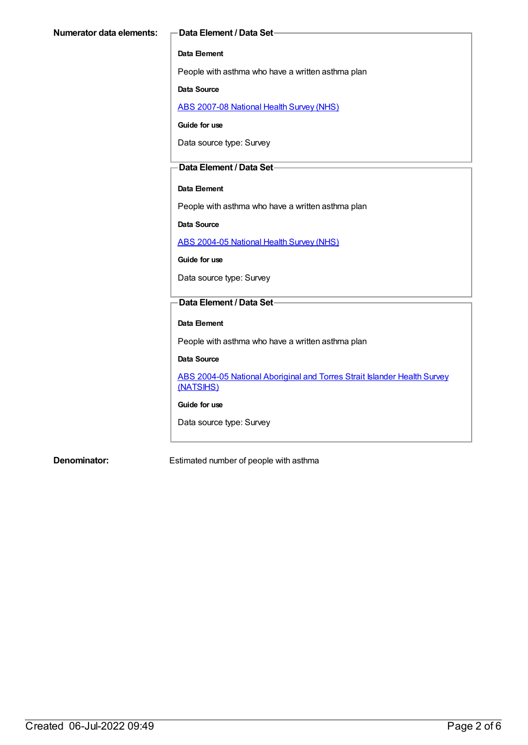#### **Data Element**

People with asthma who have a written asthma plan

#### **Data Source**

ABS [2007-08](https://meteor.aihw.gov.au/content/394103) National Health Survey (NHS)

**Guide for use**

Data source type: Survey

#### **Data Element / Data Set**

#### **Data Element**

People with asthma who have a written asthma plan

**Data Source**

ABS [2004-05](https://meteor.aihw.gov.au/content/394145) National Health Survey (NHS)

**Guide for use**

Data source type: Survey

## **Data Element / Data Set**

#### **Data Element**

People with asthma who have a written asthma plan

#### **Data Source**

ABS 2004-05 National [Aboriginal](https://meteor.aihw.gov.au/content/394146) and Torres Strait Islander Health Survey (NATSIHS)

#### **Guide for use**

Data source type: Survey

**Denominator:** Estimated number of people with asthma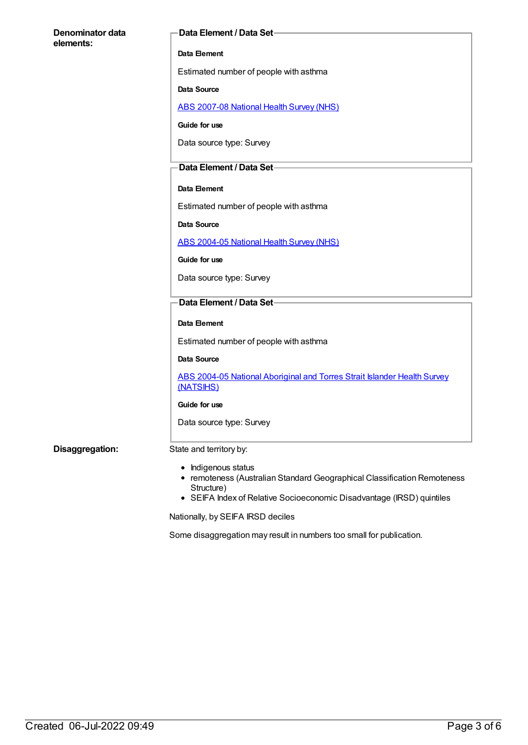| Denominator data | Data Element / Data Set-                                                                                                                                                                  |
|------------------|-------------------------------------------------------------------------------------------------------------------------------------------------------------------------------------------|
| elements:        | Data Element                                                                                                                                                                              |
|                  | Estimated number of people with asthma                                                                                                                                                    |
|                  | <b>Data Source</b>                                                                                                                                                                        |
|                  | <b>ABS 2007-08 National Health Survey (NHS)</b>                                                                                                                                           |
|                  | Guide for use                                                                                                                                                                             |
|                  | Data source type: Survey                                                                                                                                                                  |
|                  | Data Element / Data Set-                                                                                                                                                                  |
|                  | Data Element                                                                                                                                                                              |
|                  | Estimated number of people with asthma                                                                                                                                                    |
|                  | Data Source                                                                                                                                                                               |
|                  | <b>ABS 2004-05 National Health Survey (NHS)</b>                                                                                                                                           |
|                  | Guide for use                                                                                                                                                                             |
|                  | Data source type: Survey                                                                                                                                                                  |
|                  | Data Element / Data Set-                                                                                                                                                                  |
|                  | Data Element                                                                                                                                                                              |
|                  | Estimated number of people with asthma                                                                                                                                                    |
|                  | Data Source                                                                                                                                                                               |
|                  | ABS 2004-05 National Aboriginal and Torres Strait Islander Health Survey<br>(NATSIHS)                                                                                                     |
|                  | Guide for use                                                                                                                                                                             |
|                  | Data source type: Survey                                                                                                                                                                  |
| Disaggregation:  | State and territory by:                                                                                                                                                                   |
|                  | Indigenous status<br>٠<br>• remoteness (Australian Standard Geographical Classification Remoteness<br>Structure)<br>• SEIFA Index of Relative Socioeconomic Disadvantage (IRSD) quintiles |

Nationally, by SEIFA IRSD deciles

Some disaggregation may result in numbers too small for publication.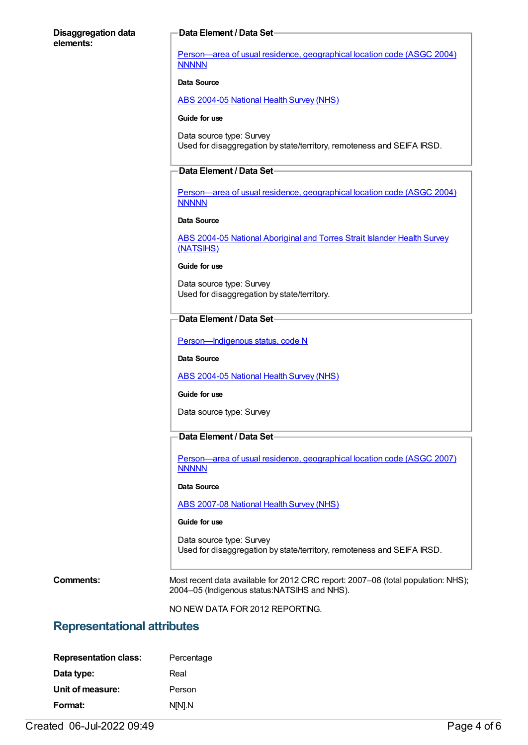#### **Disaggregation data elements:**

#### **Data Element / Data Set**

[Person—area](https://meteor.aihw.gov.au/content/270070) of usual residence, geographical location code (ASGC 2004) **NNNNN** 

#### **Data Source**

ABS [2004-05](https://meteor.aihw.gov.au/content/394145) National Health Survey (NHS)

#### **Guide for use**

Data source type: Survey Used for disaggregation by state/territory, remoteness and SEIFA IRSD.

#### **Data Element / Data Set**

[Person—area](https://meteor.aihw.gov.au/content/270070) of usual residence, geographical location code (ASGC 2004) **NNNNN** 

#### **Data Source**

ABS 2004-05 National [Aboriginal](https://meteor.aihw.gov.au/content/394146) and Torres Strait Islander Health Survey (NATSIHS)

#### **Guide for use**

Data source type: Survey Used for disaggregation by state/territory.

### **Data Element / Data Set**

Person-Indigenous status, code N

**Data Source**

ABS [2004-05](https://meteor.aihw.gov.au/content/394145) National Health Survey (NHS)

#### **Guide for use**

Data source type: Survey

#### **Data Element / Data Set**

[Person—area](https://meteor.aihw.gov.au/content/362291) of usual residence, geographical location code (ASGC 2007) **NNNNN** 

#### **Data Source**

ABS [2007-08](https://meteor.aihw.gov.au/content/394103) National Health Survey (NHS)

#### **Guide for use**

Data source type: Survey Used for disaggregation by state/territory, remoteness and SEIFA IRSD.

**Comments:** Most recent data available for 2012 CRC report: 2007–08 (total population: NHS); 2004–05 (Indigenous status:NATSIHS and NHS).

NO NEW DATA FOR 2012 REPORTING.

## **Representational attributes**

| <b>Representation class:</b> | Percentage |
|------------------------------|------------|
| Data type:                   | Real       |
| Unit of measure:             | Person     |
| Format:                      | N[N].N     |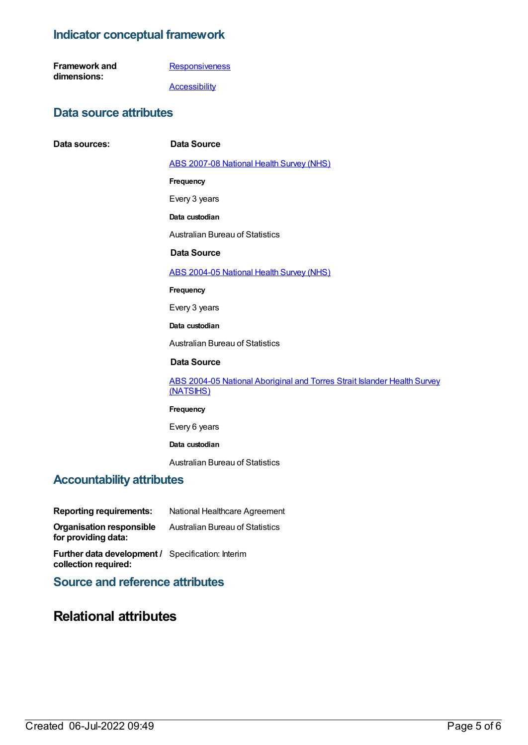# **Indicator conceptual framework**

| <b>Framework and</b> |  |
|----------------------|--|
| dimensions:          |  |

 $Data$  **sources:** 

**[Responsiveness](https://meteor.aihw.gov.au/content/392585)** 

**[Accessibility](https://meteor.aihw.gov.au/content/392591)** 

## **Data source attributes**

| Data Source                                                                           |
|---------------------------------------------------------------------------------------|
| <b>ABS 2007-08 National Health Survey (NHS)</b>                                       |
| Frequency                                                                             |
| Every 3 years                                                                         |
| Data custodian                                                                        |
| <b>Australian Bureau of Statistics</b>                                                |
| Data Source                                                                           |
| <b>ABS 2004-05 National Health Survey (NHS)</b>                                       |
| Frequency                                                                             |
| Every 3 years                                                                         |
| Data custodian                                                                        |
| <b>Australian Bureau of Statistics</b>                                                |
| <b>Data Source</b>                                                                    |
| ABS 2004-05 National Aboriginal and Torres Strait Islander Health Survey<br>(NATSIHS) |
| Frequency                                                                             |
| Every 6 years                                                                         |
| Data custodian                                                                        |
| <b>Australian Bureau of Statistics</b>                                                |

## **Accountability attributes**

**Reporting requirements:** National Healthcare Agreement

**Organisation responsible for providing data:** Australian Bureau of Statistics

**Further data development /** Specification: Interim **collection required:**

**Source and reference attributes**

# **Relational attributes**